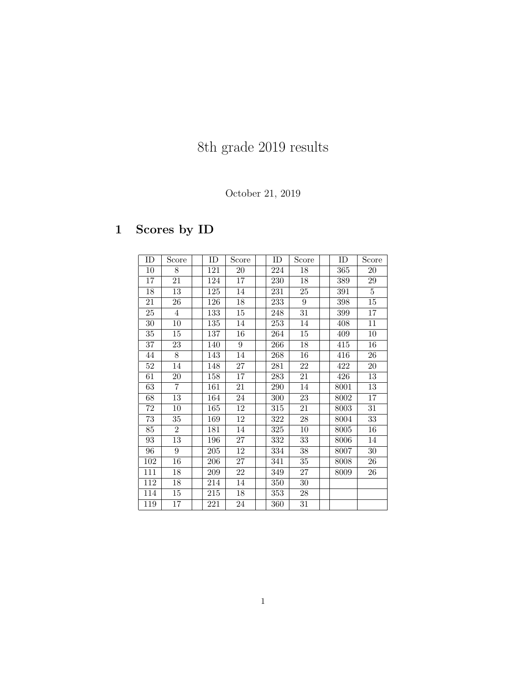# 8th grade 2019 results

#### October 21, 2019

## 1 Scores by ID

| ID              | Score           | ID  | Score           | ID  | Score           | ID   | Score          |
|-----------------|-----------------|-----|-----------------|-----|-----------------|------|----------------|
| $10\,$          | 8               | 121 | 20              | 224 | 18              | 365  | 20             |
| 17              | 21              | 124 | 17              | 230 | $18\,$          | 389  | $\,29$         |
| 18              | 13              | 125 | 14              | 231 | 25              | 391  | $\overline{5}$ |
| 21              | 26              | 126 | 18              | 233 | $\overline{9}$  | 398  | $15\,$         |
| 25              | $\overline{4}$  | 133 | 15              | 248 | $31\,$          | 399  | 17             |
| 30              | 10              | 135 | 14              | 253 | $14\,$          | 408  | 11             |
| 35              | $15\,$          | 137 | 16              | 264 | $15\,$          | 409  | $10\,$         |
| $\overline{37}$ | 23              | 140 | 9               | 266 | 18              | 415  | 16             |
| 44              | 8               | 143 | 14              | 268 | 16              | 416  | 26             |
| 52              | 14              | 148 | 27              | 281 | 22              | 422  | 20             |
| 61              | 20              | 158 | 17              | 283 | 21              | 426  | 13             |
| 63              | $\overline{7}$  | 161 | 21              | 290 | 14              | 8001 | 13             |
| 68              | $\overline{13}$ | 164 | 24              | 300 | $\overline{23}$ | 8002 | 17             |
| 72              | 10              | 165 | 12              | 315 | 21              | 8003 | 31             |
| 73              | 35              | 169 | 12              | 322 | 28              | 8004 | 33             |
| 85              | $\overline{2}$  | 181 | 14              | 325 | 10              | 8005 | 16             |
| 93              | 13              | 196 | 27              | 332 | 33              | 8006 | 14             |
| 96              | 9               | 205 | 12              | 334 | 38              | 8007 | 30             |
| 102             | 16              | 206 | 27              | 341 | 35              | 8008 | 26             |
| 111             | 18              | 209 | $\overline{22}$ | 349 | $\overline{27}$ | 8009 | 26             |
| 112             | 18              | 214 | 14              | 350 | 30              |      |                |
| 114             | 15              | 215 | 18              | 353 | 28              |      |                |
| 119             | $\overline{17}$ | 221 | 24              | 360 | $\overline{31}$ |      |                |